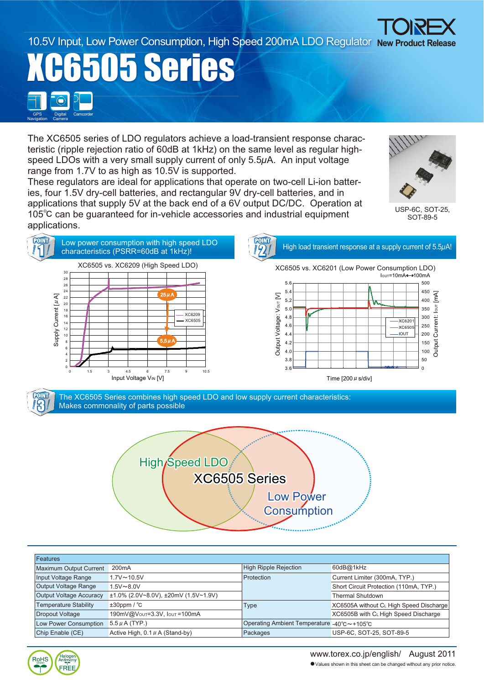www.torex.co.jp/english/ August 2011 䃂Values shown in this sheet can be changed without any prior notice.

10.5V Input, Low Power Consumption, High Speed 200mA LDO Regulator New Product Release

**505 Series Digital** Camera GPS Digital Camcorder Navigation

Halog<br>Antimo

FRFF

**RoHS** 

The XC6505 series of LDO regulators achieve a load-transient response characteristic (ripple rejection ratio of 60dB at 1kHz) on the same level as regular highspeed LDOs with a very small supply current of only 5.5*μ*A. An input voltage range from 1.7V to as high as 10.5V is supported.

These regulators are ideal for applications that operate on two-cell Li-ion batteries, four 1.5V dry-cell batteries, and rectangular 9V dry-cell batteries, and in applications that supply 5V at the back end of a 6V output DC/DC. Operation at 105<sup>°</sup>C can be guaranteed for in-vehicle accessories and industrial equipment applications.





| Features                       |                                                  |                                            |                                         |  |
|--------------------------------|--------------------------------------------------|--------------------------------------------|-----------------------------------------|--|
| Maximum Output Current         | 200 <sub>m</sub> A                               | High Ripple Rejection                      | 60dB@1kHz                               |  |
| Input Voltage Range            | $1.7V \sim 10.5V$                                | Protection                                 | Current Limiter (300mA, TYP.)           |  |
| Output Voltage Range           | $1.5V \sim 8.0V$                                 |                                            | Short Circuit Protection (110mA, TYP.)  |  |
| <b>Output Voltage Accuracy</b> | $\pm 1.0\%$ (2.0V~8.0V), $\pm 20$ mV (1.5V~1.9V) |                                            | <b>Thermal Shutdown</b>                 |  |
| <b>Temperature Stability</b>   | $±30$ ppm / $°C$                                 | <b>Type</b>                                | XC6505A without C∟ High Speed Discharge |  |
| Dropout Voltage                | 190mV@Vout=3.3V, Iout=100mA                      |                                            | XC6505B with CL High Speed Discharge    |  |
| Low Power Consumption          | $5.5 \mu$ A (TYP.)                               | Operating Ambient Temperature -40°C~+105°C |                                         |  |
| Chip Enable (CE)               | Active High, $0.1 \mu$ A (Stand-by)              | Packages                                   | USP-6C, SOT-25, SOT-89-5                |  |